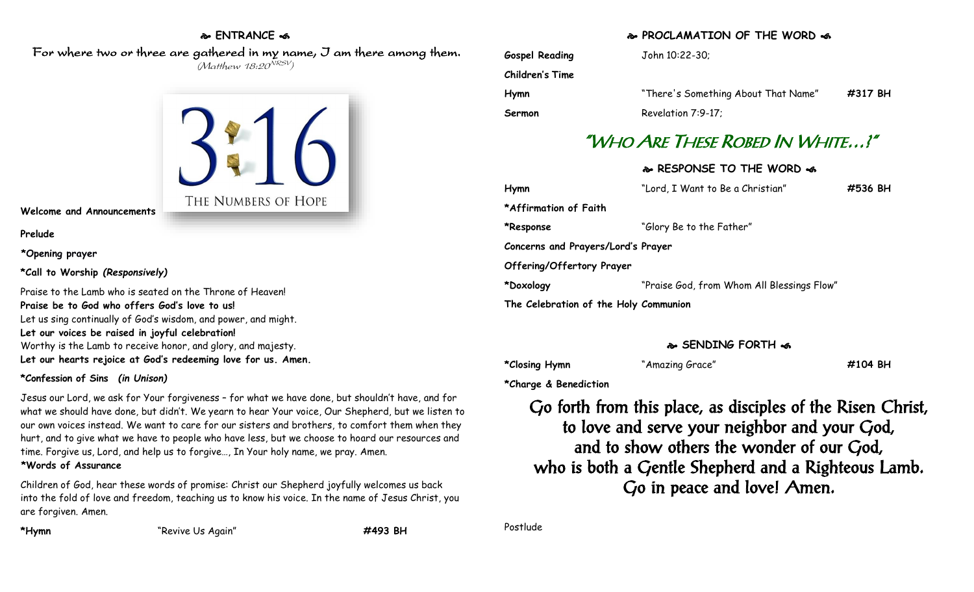#### **ENTRANCE**

 For where two or three are gathered in my name, I am there among them. (Matthew 18:20<sup>NRSV</sup>)



#### **Welcome and Announcements**

**Prelude**

**\*Opening prayer**

**\*Call to Worship** *(Responsively)*

Praise to the Lamb who is seated on the Throne of Heaven! **Praise be to God who offers God's love to us!** Let us sing continually of God's wisdom, and power, and might. **Let our voices be raised in joyful celebration!** Worthy is the Lamb to receive honor, and glory, and majesty. **Let our hearts rejoice at God's redeeming love for us. Amen.**

#### **\*Confession of Sins** *(in Unison)*

Jesus our Lord, we ask for Your forgiveness – for what we have done, but shouldn't have, and for what we should have done, but didn't. We yearn to hear Your voice, Our Shepherd, but we listen to our own voices instead. We want to care for our sisters and brothers, to comfort them when they hurt, and to give what we have to people who have less, but we choose to hoard our resources and time. Forgive us, Lord, and help us to forgive…, In Your holy name, we pray. Amen.

**\*Words of Assurance**

Children of God, hear these words of promise: Christ our Shepherd joyfully welcomes us back into the fold of love and freedom, teaching us to know his voice. In the name of Jesus Christ, you are forgiven. Amen.

**\*Hymn** "Revive Us Again" **#493 BH**

### **PROCLAMATION OF THE WORD**

| <b>Gospel Reading</b> | John 10:22-30;                      |         |
|-----------------------|-------------------------------------|---------|
| Children's Time       |                                     |         |
| Hymn                  | "There's Something About That Name" | #317 BH |
| Sermon                | Revelation 7:9-17;                  |         |

# "WHO ARE THESE ROBED IN WHITE…?"

# **RESPONSE TO THE WORD**

| Hymn                                  | "Lord, I Want to Be a Christian"           | #536 BH |  |
|---------------------------------------|--------------------------------------------|---------|--|
| *Affirmation of Faith                 |                                            |         |  |
| *Response                             | "Glory Be to the Father"                   |         |  |
| Concerns and Prayers/Lord's Prayer    |                                            |         |  |
| Offering/Offertory Prayer             |                                            |         |  |
| *Doxology                             | "Praise God, from Whom All Blessings Flow" |         |  |
| The Celebration of the Holy Communion |                                            |         |  |

## **SENDING FORTH**

**\*Closing Hymn** "Amazing Grace" **#104 BH**

**\*Charge & Benediction**

Go forth from this place, as disciples of the Risen Christ, to love and serve your neighbor and your God, and to show others the wonder of our God, who is both a Gentle Shepherd and a Righteous Lamb. Go in peace and love! Amen.

Postlude